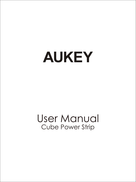# **AUKEY**

# User Manual Cube Power Strip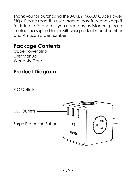Thank you for purchasing the AUKEY PA-X09 Cube Power Strip. Please read this user manual carefully and keep it for future reference. If you need any assistance, please contact our support team with your product model number and Amazon order number.

#### **Package Contents**

Cube Power Strip User Manual Warranty Card

#### **Product Diagram**

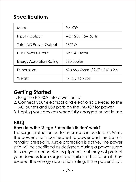## **Specifications**

| Model                           | PA-X09                              |
|---------------------------------|-------------------------------------|
| Input / Output                  | AC 125V 15A 60Hz                    |
| <b>Total AC Power Output</b>    | 187.5W                              |
| <b>USB Power Output</b>         | 5V 2.4A total                       |
| <b>Energy Absorption Rating</b> | 380 Joules                          |
| Dimensions                      | 67 x 66 x 66mm / 2.6" x 2.6" x 2.6" |
| Weight                          | 474a / 16.72oz                      |

#### **Getting Started**

- 1. Plug the PA-X09 into a wall outlet
- 2. Connect your electrical and electronic devices to the AC outlets and USB ports on the PA-X09 for power
- 3. Unplug your devices when fully charged or not in use

## **FAQ**

#### **How does the 'Surge Protection Button' work?**

The surge protection button is pressed in by default. While the power strip is connected to power and the button remains pressed in, surge protection is active. The power strip will be sacrificed as designed during a power surge to save your connected equipment, but may not protect your devices from surges and spikes in the future if they exceed the energy absorption rating. If the power strip's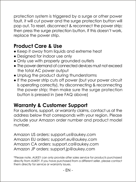protection system is triggered by a surge or other power fault, it will cut power and the surge protection button will pop out. To reset, disconnect & reconnect the power strip; then press the surge protection button. If this doesn't work, replace the power strip.

#### **Product Care & Use**

- Keep it away from liquids and extreme heat
- Designed for indoor use only
- Only use with properly grounded outlets
- The power demand of connected devices must not exceed the total AC power output
- Unplug the product during thunderstorms
- If the power strip cuts off power (but your power circuit is operating correctly), try disconnecting & reconnecting the power strip; then make sure the surge protection button is pressed in (see FAQ above)

#### **Warranty & Customer Support**

For questions, support, or warranty claims, contact us at the address below that corresponds with your region. Please include your Amazon order number and product model number.

Amazon US orders: support.us@aukey.com Amazon EU orders: support.eu@aukey.com Amazon CA orders: support.ca@aukey.com Amazon JP orders: support.jp@aukey.com

\*Please note, AUKEY can only provide after sales service for products purchased directly from AUKEY. If you have purchased from a different seller, please contact them directly for service or warranty issues.